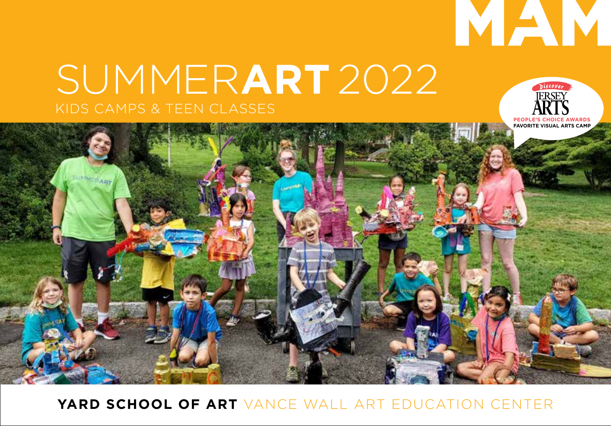

# SUMMER**ART** 2022 KIDS CAMPS & TEEN CLASSES





<sup>1</sup> **YARD SCHOOL OF ART** VANCE WALL ART EDUCATION CENTER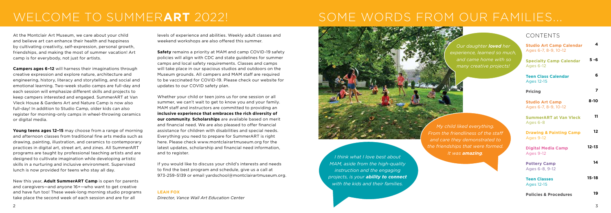*I think what I love best about MAM, aside from the high-quality instruction and the engaging projects, is your ability to connect with the kids and their families.*

At the Montclair Art Museum, we care about your child and believe art can enhance their health and happiness by cultivating creativity, self-expression, personal growth, friendships, and making the most of summer vacation! Art camp is for everybody, not just for artists.

**Campers ages 6–12** will harness their imaginations through creative expression and explore nature, architecture and engineering, history, literacy and storytelling, and social and emotional learning. Two-week studio camps are full-day and each session will emphasize different skills and projects to keep campers interested and engaged. SummerART at Van Vleck House & Gardens Art and Nature Camp is now also full-day! In addition to Studio Camp, older kids can also register for morning-only camps in wheel-throwing ceramics or digital media.

**Young teens ages 12–15** may choose from a range of morning and afternoon classes from traditional fine arts media such as drawing, painting, illustration, and ceramics to contemporary practices in digital art, street art, and zines. All SummerART programs are taught by professional teaching artists and are designed to cultivate imagination while developing artistic skills in a nurturing and inclusive environment. Supervised lunch is now provided for teens who stay all day.

New this year, **Adult SummerART Camp** is open for parents and caregivers—and anyone 16+—who want to get creative and have fun too! These week-long morning studio programs take place the second week of each session and are for all

levels of experience and abilities. Weekly adult classes and weekend workshops are also offered this summer.

**Safety** remains a priority at MAM and camp COVID-19 safety policies will align with CDC and state guidelines for summer camps and local safety requirements. Classes and camps will take place in our spacious studios and outdoors on the Museum grounds. All campers and MAM staff are required to be vaccinated for COVID-19. Please check our website for updates to our COVID safety plan.

Whether your child or teen joins us for one session or all summer, we can't wait to get to know you and your family. MAM staff and instructors are committed to providing an **inclusive experience that embraces the rich diversity of our community**. **Scholarships** are available based on merit and financial need. We are also pleased to offer financial assistance for children with disabilities and special needs. Everything you need to prepare for SummerART is right here. Please check www.montclairartmuseum.org for the latest updates, scholarship and financial need information, and to register.

If you would like to discuss your child's interests and needs to find the best program and schedule, give us a call at 973-259-5139 or email yardschool@montclairartmuseum.org.

#### **LEAH FOX**

*Director, Vance Wall Art Education Center*

# CONTENTS

| <b>Studio Art Camp Calendar</b><br>Ages 6-7, 8-9, 10-12 | 4         |
|---------------------------------------------------------|-----------|
| <b>Specialty Camp Calendar</b><br><b>Ages 6-12</b>      | 5 - 6     |
| <b>Teen Class Calendar</b><br><b>Ages 12-15</b>         | 6         |
| <b>Pricing</b>                                          | 7         |
| <b>Studio Art Camp</b><br>Ages 6-7, 8-9, 10-12          | $8 - 10$  |
| <b>SummerART at Van Vleck</b><br>Ages 6-8               | 11        |
| <b>Drawing &amp; Painting Camp</b><br><b>Ages 9-12</b>  | 12        |
| <b>Digital Media Camp</b><br><b>Ages 9-12</b>           | $12 - 13$ |
| <b>Pottery Camp</b><br>Ages 6-8, 9-12                   | 14        |
| <b>Teen Classes</b><br><b>Ages 12-15</b>                | 15-18     |
| <b>Policies &amp; Procedures</b>                        | 19        |

# WELCOME TO SUMMER**ART** 2022!

*Our daughter loved her experience, learned so much, and came home with so many creative projects!*

# SOME WORDS FROM OUR FAMILIES...



*My child liked everything. From the friendliness of the staff and care they demonstrated to the friendships that were formed. It was amazing.*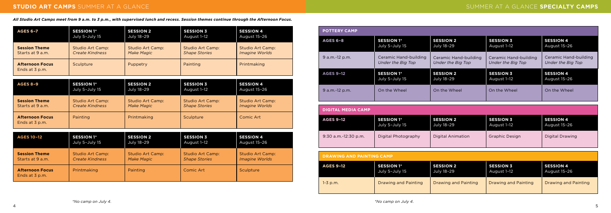| <b>AGES 6-7</b>                          | <b>SESSION 1*</b>       | <b>SESSION 2</b>        | <b>SESSION 3</b>        | <b>SESSION 4</b>        |
|------------------------------------------|-------------------------|-------------------------|-------------------------|-------------------------|
|                                          | July 5-July 15          | July 18-29              | August 1-12             | August 15-26            |
| <b>Session Theme</b>                     | <b>Studio Art Camp:</b> | <b>Studio Art Camp:</b> | <b>Studio Art Camp:</b> | <b>Studio Art Camp:</b> |
| Starts at 9 a.m.                         | <b>Create Kindness</b>  | <b>Make Magic</b>       | <b>Shape Stories</b>    | <b>Imagine Worlds</b>   |
| <b>Afternoon Focus</b><br>Ends at 3 p.m. | Sculpture               | Puppetry                | Painting                | Printmaking             |
| <b>AGES 8-9</b>                          | <b>SESSION 1*</b>       | <b>SESSION 2</b>        | <b>SESSION 3</b>        | <b>SESSION 4</b>        |
|                                          | July 5-July 15          | July 18-29              | August 1-12             | August 15-26            |
| <b>Session Theme</b>                     | <b>Studio Art Camp:</b> | <b>Studio Art Camp:</b> | <b>Studio Art Camp:</b> | <b>Studio Art Camp:</b> |
| Starts at 9 a.m.                         | <b>Create Kindness</b>  | <b>Make Magic</b>       | <b>Shape Stories</b>    | <b>Imagine Worlds</b>   |
| <b>Afternoon Focus</b><br>Ends at 3 p.m. | Painting                | Printmaking             | Sculpture               | Comic Art               |
| <b>AGES 10-12</b>                        | <b>SESSION 1*</b>       | <b>SESSION 2</b>        | <b>SESSION 3</b>        | <b>SESSION 4</b>        |
|                                          | July 5-July 15          | July 18-29              | August 1-12             | August 15-26            |
| <b>Session Theme</b>                     | <b>Studio Art Camp:</b> | <b>Studio Art Camp:</b> | <b>Studio Art Camp:</b> | <b>Studio Art Camp:</b> |
| Starts at 9 a.m.                         | <b>Create Kindness</b>  | <b>Make Magic</b>       | <b>Shape Stories</b>    | <b>Imagine Worlds</b>   |
| <b>Afternoon Focus</b><br>Ends at 3 p.m. | Printmaking             | Painting                | Comic Art               | Sculpture               |

| <b>POTTERY CAMP</b>                        |                                            |                                            |                                            |  |  |
|--------------------------------------------|--------------------------------------------|--------------------------------------------|--------------------------------------------|--|--|
| <b>SESSION 1*</b><br>July 5-July 15        | <b>SESSION 2</b><br>July 18-29             | <b>SESSION 3</b><br>August 1-12            | <b>SESSION 4</b><br>August 15-26           |  |  |
| Ceramic Hand-building<br>Under the Big Top | Ceramic Hand-building<br>Under the Big Top | Ceramic Hand-building<br>Under the Big Top | Ceramic Hand-building<br>Under the Big Top |  |  |
| <b>SESSION 1*</b><br>July 5-July 15        | <b>SESSION 2</b><br>July 18-29             | <b>SESSION 3</b><br>August 1-12            | <b>SESSION 4</b><br>August 15-26           |  |  |
| On the Wheel                               | On the Wheel                               | On the Wheel                               | On the Wheel                               |  |  |
| <b>DIGITAL MEDIA CAMP</b>                  |                                            |                                            |                                            |  |  |
| <b>SESSION 1*</b><br>July 5-July 15        | <b>SESSION 2</b><br>July 18-29             | <b>SESSION 3</b><br>August 1-12            | <b>SESSION 4</b><br>August 15-26           |  |  |
| Digital Photography                        | <b>Digital Animation</b>                   | <b>Graphic Design</b>                      | Digital Drawing                            |  |  |
|                                            |                                            |                                            |                                            |  |  |

*All Studio Art Camps meet from 9 a.m. to 3 p.m., with supervised lunch and recess. Session themes continue through the Afternoon Focus.*

|                                                                                                                                                                  | <b>DRAWING AND PAINTING CAMP</b> |                      |                      |                      |                      |
|------------------------------------------------------------------------------------------------------------------------------------------------------------------|----------------------------------|----------------------|----------------------|----------------------|----------------------|
| <b>SESSION 2</b><br><b>AGES 9-12</b><br><b>SESSION 1*</b><br><b>SESSION 4</b><br><b>SESSION 3</b><br>July 5-July 15<br>July 18-29<br>August 1–12<br>August 15-26 |                                  |                      |                      |                      |                      |
|                                                                                                                                                                  | $1 - 3$ p.m.                     | Drawing and Painting | Drawing and Painting | Drawing and Painting | Drawing and Painting |

# SUMMER AT A GLANCE **SPECIALTY CAMPS**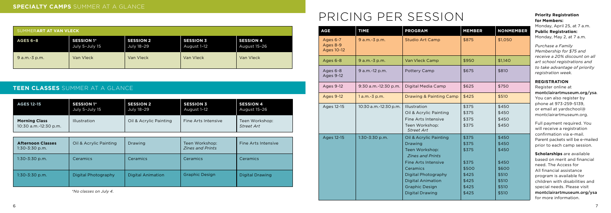# **TEEN CLASSES** SUMMER AT A GLANCE

# PRICING PER SESSION

| <b>MEMBER</b> | <b>NONMEMBER</b> |
|---------------|------------------|
| \$875         | \$1,050          |
|               |                  |
|               |                  |
| \$950         | \$1,140          |
| \$675         | \$810            |
|               |                  |
| \$625         | \$750            |
| \$425         | \$510            |
|               |                  |
| \$375         | \$450            |
| \$375         | \$450            |
| \$375         | \$450            |
| \$375         | \$450            |
| \$375         | \$450            |
| \$375         | \$450            |
| \$375         | \$450            |
| \$375         | \$450            |
| \$500         | \$600            |
| \$425         | \$510            |
| \$425         | \$510            |
| \$425         | \$510            |
| \$425         | \$510            |
|               |                  |

#### **Priority Registration for Members:**  Monday, April 25, at 7 a.m. **Public Registration:**  Monday, May 2, at 7 a.m.

| <b>AGE</b>                         | <b>TIME</b>            | <b>PROGRAM</b>                                                                                                                                                                                                                 | <b>MEMBER</b>                                                                 | <b>NONMEMBER</b>                                                              |
|------------------------------------|------------------------|--------------------------------------------------------------------------------------------------------------------------------------------------------------------------------------------------------------------------------|-------------------------------------------------------------------------------|-------------------------------------------------------------------------------|
| Ages 6-7<br>Ages 8-9<br>Ages 10-12 | 9 a.m.-3 p.m.          | <b>Studio Art Camp</b>                                                                                                                                                                                                         | \$875                                                                         | \$1,050                                                                       |
| Ages 6-8                           | 9 a.m.-3 p.m.          | Van Vleck Camp                                                                                                                                                                                                                 | \$950                                                                         | \$1,140                                                                       |
| Ages 6-8<br><b>Ages 9-12</b>       | 9 a.m.-12 p.m.         | Pottery Camp                                                                                                                                                                                                                   | \$675                                                                         | \$810                                                                         |
| <b>Ages 9-12</b>                   | $9:30$ a.m.-12:30 p.m. | Digital Media Camp                                                                                                                                                                                                             | \$625                                                                         | \$750                                                                         |
| <b>Ages 9-12</b>                   | $1a.m.-3 p.m.$         | Drawing & Painting Camp                                                                                                                                                                                                        | \$425                                                                         | \$510                                                                         |
| Ages 12-15                         | 10:30 a.m.-12:30 p.m.  | Illustration<br>Oil & Acrylic Painting<br><b>Fine Arts Intensive</b><br>Teen Workshop:<br><b>Street Art</b>                                                                                                                    | \$375<br>\$375<br>\$375<br>\$375                                              | \$450<br>\$450<br>\$450<br>\$450                                              |
| Ages 12-15                         | $1:30 - 3:30$ p.m.     | Oil & Acrylic Painting<br>Drawing<br>Teen Workshop:<br><b>Zines and Prints</b><br><b>Fine Arts Intensive</b><br>Ceramics<br>Digital Photography<br><b>Digital Animation</b><br><b>Graphic Design</b><br><b>Digital Drawing</b> | \$375<br>\$375<br>\$375<br>\$375<br>\$500<br>\$425<br>\$425<br>\$425<br>\$425 | \$450<br>\$450<br>\$450<br>\$450<br>\$600<br>\$510<br>\$510<br>\$510<br>\$510 |

*Purchase a Family Membership for \$75 and receive a 20% discount on all art school registrations and to take advantage of priority registration week.* 

#### **REGISTRATION**

Register online at montclairartmuseum.org/ysa. You can also register by phone at 973-259-5139, or email at yardschool@ montclairartmuseum.org.

Full payment required. You will receive a registration confirmation via e-mail. Parent packets will be e-mailed prior to each camp session.

**Scholarships** are available based on merit and financial need. The Access for All financial assistance program is available for children with disabilities and special needs. Please visit montclairartmuseum.org/ysa for more information.

| <b>AGES 12-15</b>                             | <b>SESSION 1*</b>   | <b>SESSION 2</b>       | <b>SESSION 3</b>    | <b>SESSION 4</b>             |
|-----------------------------------------------|---------------------|------------------------|---------------------|------------------------------|
|                                               | July 5-July 15      | July 18-29             | August 1–12         | August 15-26                 |
| <b>Morning Class</b><br>10:30 a.m.-12:30 p.m. | <b>Illustration</b> | Oil & Acrylic Painting | Fine Arts Intensive | Teen Workshop:<br>Street Art |

| <b>Afternoon Classes</b><br>$1:30 - 3:30$ p.m. | Oil & Acrylic Painting | Drawing                  | Teen Workshop:<br><b>Zines and Prints</b> | Fine Arts Intensive |
|------------------------------------------------|------------------------|--------------------------|-------------------------------------------|---------------------|
| $1:30-3:30$ p.m.                               | Ceramics               | Ceramics                 | Ceramics                                  | Ceramics            |
| $1:30-3:30$ p.m.                               | Digital Photography    | <b>Digital Animation</b> | <b>Graphic Design</b>                     | Digital Drawing     |

*\*No classes on July 4.*

| SUMMERART AT VAN VLECK |                                     |                                |                                 |                                  |  |
|------------------------|-------------------------------------|--------------------------------|---------------------------------|----------------------------------|--|
| <b>AGES 6-8</b>        | <b>SESSION 1*</b><br>July 5-July 15 | <b>SESSION 2</b><br>July 18-29 | <b>SESSION 3</b><br>August 1-12 | <b>SESSION 4</b><br>August 15-26 |  |
| $9$ a.m.-3 p.m.        | Van Vleck                           | Van Vleck                      | Van Vleck                       | Van Vleck                        |  |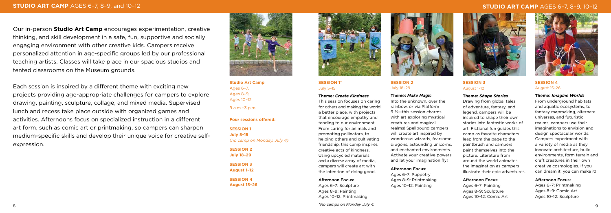Our in-person **Studio Art Camp** encourages experimentation, creative thinking, and skill development in a safe, fun, supportive and socially engaging environment with other creative kids. Campers receive personalized attention in age-specific groups led by our professional teaching artists. Classes will take place in our spacious studios and tented classrooms on the Museum grounds.

Each session is inspired by a different theme with exciting new projects providing age-appropriate challenges for campers to explore drawing, painting, sculpture, collage, and mixed media. Supervised lunch and recess take place outside with organized games and activities. Afternoons focus on specialized instruction in a different art form, such as comic art or printmaking, so campers can sharpen medium-specific skills and develop their unique voice for creative selfexpression.



### **SESSION 4**  August 15–26

#### **Theme:** *Imagine Worlds*

From underground habitats and aquatic ecosystems, to fantasy mapmaking, alternate universes, and futuristic realms, campers use their imaginations to envision and design spectacular worlds. Campers experiment with a variety of media as they innovate architecture, build environments, form terrain and craft creatures in their own creative cosmologies. If you can dream it, you can make it!

#### Afternoon Focus:

Ages 6–7: Printmaking Ages 8–9: Comic Art Ages 10–12: Sculpture

#### **SESSION 3** August 1–12

#### **Theme:** *Shape Stories*

Drawing from global tales of adventure, fantasy, and legend, campers will be inspired to shape their own stories into fantastic works of art. Fictional fun guides this camp as favorite characters leap from the page to the paintbrush and campers paint themselves into the picture. Literature from around the world animates the imagination as campers illustrate their epic adventures.

#### Afternoon Focus:

Ages 6–7: Painting Ages 8–9: Sculpture Ages 10–12: Comic Art



### **SESSION 2** July 18–29

#### **Theme:** *Make Magic*

Into the unknown, over the rainbow, or via Platform 9 ¾—this session charms with art exploring mystical creatures and magical realms! Spellbound campers will create art inspired by wonderous wizards, fearsome dragons, astounding unicorns, and enchanted environments. Activate your creative powers and let your imagination fly!

#### Afternoon Focus:

Ages 6–7: Puppetry Ages 8–9: Printmaking Ages 10–12: Painting



**SESSION 1\***  July 5–15

#### **Theme:** *Create Kindness*

This session focuses on caring for others and making the world a better place, with projects that encourage empathy and tending to our environment. From caring for animals and promoting pollinators, to helping others and cultivating friendship, this camp inspires creative acts of kindness. Using upcycled materials and a diverse array of media, campers will create art with the intention of doing good.

#### Afternoon Focus:

Ages 6–7: Sculpture Ages 8–9: Painting Ages 10–12: Printmaking

*\*No camps on Monday July 4.*



**Studio Art Camp** Ages 6–7, Ages 8–9, Ages 10–12 9 a.m.–3 p.m.

**Four sessions offered:**

**SESSION 1 July 5–15** *(no camp on Monday, July 4)*

**SESSION 2 July 18–29 SESSION 3 August 1–12 SESSION 4 August 15–26**

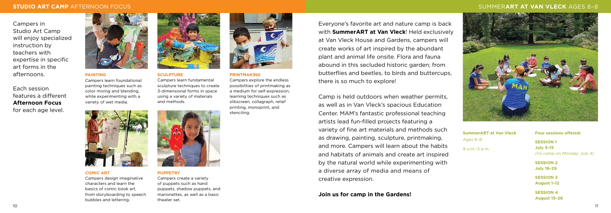#### **PAINTING**

Campers learn foundational painting techniques such as color mixing and blending, while experimenting with a variety of wet media.



#### **COMIC ART** Campers design imaginative characters and learn the basics of comic book art, from storyboarding to speech bubbles and lettering.



#### **PUPPETRY**

Campers create a variety of puppets such as hand puppets, shadow puppets, and marionettes, as well as a basic theater set.



**SCULPTURE**  Campers learn fundamental sculpture techniques to create 3-dimensional forms in space using a variety of materials and methods.



#### **PRINTMAKING**

Campers explore the endless possibilities of printmaking as a medium for self-expression, learning techniques such as silkscreen, collagraph, relief printing, monoprint, and stenciling.

Everyone's favorite art and nature camp is back with **SummerART at Van Vleck**! Held exclusively at Van Vleck House and Gardens, campers will create works of art inspired by the abundant plant and animal life onsite. Flora and fauna abound in this secluded historic garden; from butterflies and beetles, to birds and buttercups, there is so much to explore!

Camp is held outdoors when weather permits, as well as in Van Vleck's spacious Education Center. MAM's fantastic professional teaching artists lead fun-filled projects featuring a variety of fine art materials and methods such as drawing, painting, sculpture, printmaking, and more. Campers will learn about the habits and habitats of animals and create art inspired by the natural world while experimenting with a diverse array of media and means of creative expression.

## **Join us for camp in the Gardens!**

Campers in Studio Art Camp will enjoy specialized instruction by teachers with expertise in specific art forms in the afternoons.

# Each session features a different **Afternoon Focus** for each age level.



# SUMMER**ART AT VAN VLECK** AGES 6–8



#### **SummerART at Van Vleck**

Ages 6–8

9 a.m.–3 p.m.

#### **Four sessions offered:**

**SESSION 1 July 5–15** *(no camp on Monday, July 4)*

**SESSION 2 July 18–29**

**SESSION 3 August 1–12**

**SESSION 4 August 15–26**

# **STUDIO ART CAMP** AFTERNOON FOCUS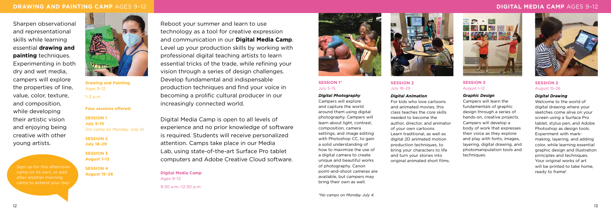#### **SESSION 2** August 15–26

#### *Digital Drawing*

Welcome to the world of digital drawing where your sketches come alive on your screen using a Surface Pro tablet, stylus pen, and Adobe Photoshop as design tools. Experiment with markmaking, layering, and adding color, while learning essential graphic design and illustration principles and techniques. Your original works of art will be printed to take home. ready to frame!

### **SESSION 2** July 18–29

#### *Digital Animation*

For kids who love cartoons and animated movies, this class teaches the core skills needed to become the author, director, and animator of your own cartoons. Learn traditional, as well as digital 2D animated motion production techniques, to bring your characters to life and turn your stories into original animated short films.

#### **SESSION 3**  August 1–12

#### *Graphic Design*

Campers will learn the fundamentals of graphic design through a series of hands-on, creative projects. Campers will develop a body of work that expresses their voice as they explore and play with fonts, images, layering, digital drawing, and photomanipulation tools and techniques.



### **SESSION 1\***  July 5–15

#### *Digital Photography*

Campers will explore and capture the world around them using digital photography. Campers will learn about light, contrast, composition, camera settings, and image editing with Photoshop CC, to gain a solid understanding of how to maximize the use of a digital camera to create unique and beautiful works of photography. Canon point-and-shoot cameras are available, but campers may bring their own as well.



Sign up for this afternoon camp on its own, or add after another morning





Reboot your summer and learn to use technology as a tool for creative expression and communication in our **Digital Media Camp**. Level up your production skills by working with professional digital teaching artists to learn essential tricks of the trade, while refining your vision through a series of design challenges. Develop fundamental and indispensable production techniques and find your voice in becoming a prolific cultural producer in our increasingly connected world.

Digital Media Camp is open to all levels of experience and no prior knowledge of software is required. Students will receive personalized attention. Camps take place in our Media Lab, using state-of-the-art Surface Pro tablet computers and Adobe Creative Cloud software.

# **DRAWING AND PAINTING CAMP** AGES 9–12 **DIGITAL MEDIA CAMP** AGES 9–12 **DIGITAL MEDIA CAMP** AGES 9–12

Sharpen observational and representational skills while learning essential **drawing and painting** techniques. Experimenting in both dry and wet media, campers will explore the properties of line, value, color, texture, and composition, while developing their artistic vision and enjoying being creative with other young artists.

**Drawing and Painting** Ages 9–12 1–3 p.m. **Four sessions offered: SESSION 1 July 5–15** *(no camp on Monday, July 4)* **SESSION 2 July 18–29 SESSION 3 August 1–12 SESSION 4**

# **August 15–26 Digital Media Camp** Ages 9–12

9:30 a.m.–12:30 p.m.

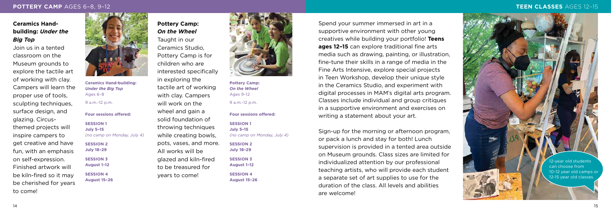Spend your summer immersed in art in a supportive environment with other young creatives while building your portfolio! **Teens ages 12–15** can explore traditional fine arts media such as drawing, painting, or illustration, fine-tune their skills in a range of media in the Fine Arts Intensive, explore special projects in Teen Workshop, develop their unique style in the Ceramics Studio, and experiment with digital processes in MAM's digital arts program. Classes include individual and group critiques in a supportive environment and exercises on writing a statement about your art.

Sign-up for the morning or afternoon program, or pack a lunch and stay for both! Lunch supervision is provided in a tented area outside on Museum grounds. Class sizes are limited for individualized attention by our professional teaching artists, who will provide each student a separate set of art supplies to use for the duration of the class. All levels and abilities are welcome!

12-year old students can choose from 10-12 year old camps or 12-15 year old classes.

# **POTTERY CAMP** AGES 6–8, 9–12 **TEEN CLASSES** AGES 12–15

# **Ceramics Handbuilding:** *Under the Big Top*

Join us in a tented classroom on the Museum grounds to explore the tactile art of working with clay. Campers will learn the proper use of tools, sculpting techniques, surface design, and glazing. Circusthemed projects will inspire campers to get creative and have fun, with an emphasis on self-expression. Finished artwork will be kiln-fired so it may be cherished for years to come!



**Pottery Camp:**  *On the Wheel* Taught in our Ceramics Studio, Pottery Camp is for children who are interested specifically in exploring the tactile art of working with clay. Campers will work on the wheel and gain a solid foundation of throwing techniques while creating bowls, pots, vases, and more. All works will be glazed and kiln-fired to be treasured for years to come!



**Ceramics Hand-building:**  *Under the Big Top* Ages 6–8 9 a.m.-12 p.m.

#### **Four sessions offered:**

**SESSION 1 July 5–15** *(no camp on Monday, July 4)* **SESSION 2**

**July 18–29 SESSION 3 August 1–12 SESSION 4 August 15–26**

**Pottery Camp:**  *On the Wheel* Ages 9–12 9 a.m.-12 p.m.

### **Four sessions offered:**

**SESSION 1 July 5–15** *(no camp on Monday, July 4)*

**SESSION 2 July 18–29 SESSION 3 August 1–12 SESSION 4 August 15–26**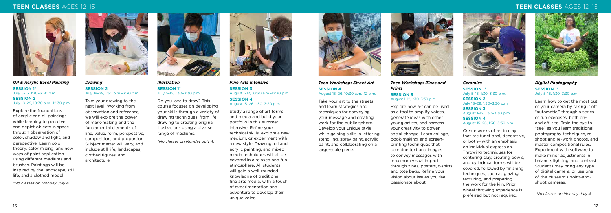*Fine Arts Intensive*  **SESSION 3** August 1–12, 10:30 a.m.–12:30 p.m. **SESSION 4**

August 15–26, 1:30–3:30 p.m. Study a range of art forms and media and build your portfolio in this summer intensive. Refine your technical skills, explore a new medium, or experiment with a new style. Drawing, oil and acrylic painting, and mixed media techniques will all be covered in a relaxed and fun atmosphere. All students will gain a well-rounded knowledge of traditional fine arts media, with a touch of experimentation and adventure to develop their unique voice.



### *Illustration*  **SESSION 1\***  July 5–15, 1:30–3:30 p.m.

Do you love to draw? This course focuses on developing your skills through a variety of drawing techniques, from life drawing to creating original illustrations using a diverse range of mediums.

*\*No classes on Monday July 4.*



#### *Drawing*  **SESSION 2** July 18–29, 1:30 p.m.–3:30 p.m.

Take your drawing to the next level! Working from observation and reference, we will explore the power of mark-making and the fundamental elements of line, value, form, perspective, composition, and proportion. Subject matter will vary, and include still life, landscapes, clothed figures, and architecture.





#### *Oil & Acrylic Easel Painting*  **SESSION 1\***  July 5–15, 1:30–3:30 p.m. **SESSION 2** July 18–29, 10:30 a.m.–12:30 p.m.

Explore the foundations of acrylic and oil paintings while learning to perceive and depict objects in space through observation of color, shadow and light, and perspective. Learn color theory, color mixing, and new ways of paint application using different mediums and brushes. Paintings will be inspired by the landscape, still life, and a clothed model.

*\*No classes on Monday July 4.*



# **TEEN CLASSES** AGES 12–15 **TEEN CLASSES** AGES 12–15



*Digital Photography* **SESSION 1\*** July 5–15, 1:30–3:30 p.m.

Learn how to get the most out of your camera by taking it off "automatic," through a series of fun exercises, both onand off-site. Train the eye to "see" as you learn traditional photography techniques, reshoot and re-work photos, and master compositional rules. Experiment with software to make minor adjustments in balance, lighting, and contrast. Students may bring any type of digital camera, or use one of the Museum's point-andshoot cameras.

*\*No classes on Monday July 4.*

*Ceramics* **SESSION 1\*** July 5–15, 1:30–3:30 p.m. **SESSION 2** July 18–29, 1:30–3:30 p.m. **SESSION 3** August 1–12, 1:30–3:30 p.m. **SESSION 4** August 15–26, 1:30–3:30 p.m.

Create works of art in clay that are functional, decorative, or both—with an emphasis on individual expression. Throwing techniques for centering clay, creating bowls, and cylindrical forms will be covered, followed by finishing techniques, such as glazing, texturing, and preparing the work for the kiln. Prior wheel throwing experience is preferred but not required.



### *Teen Workshop: Zines and Prints* **SESSION 3**  August 1–12, 1:30–3:30 p.m.

Explore how art can be used as a tool to amplify voices, generate ideas with other young artists, and harness your creativity to power social change. Learn collage, book-making, and screenprinting techniques that combine text and images to convey messages with maximum visual impact through zines, posters, t-shirts, and tote bags. Refine your vision about issues you feel passionate about.

#### *Teen Workshop: Street Art* **SESSION 4**  August 15–26, 10:30 a.m.–12 p.m.

Take your art to the streets and learn strategies and techniques for conveying your message and creating work for the public sphere. Develop your unique style while gaining skills in lettering, stenciling, spray paint, acrylic paint, and collaborating on a large-scale piece.

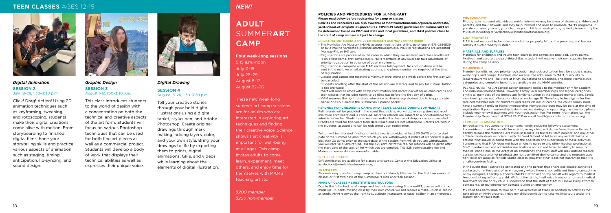#### **POLICIES AND PROCEDURES FOR** SUMMER**ART**

**Please read below before registering for camp or classes.** 

**Policies and Procedures are also available at montclairartmuseum.org/learn-andcreate/ yard-school-of-art/policies-procedures. COVID-19 safety guidelines for SummerART will be determined based on CDC and state and local guidelines, and MAM policies close to the start of camp and are subject to change.**

#### **REGISTRATION: Begins April 25 for members and May 2 for the public**

- The Montclair Art Museum (MAM) accepts registrations online, by phone at 973-259-5139, or by e-mail to yardschool@montclairartmuseum.org. Walk-in registrations are accepted Monday-Friday 9-3 p.m.
- Registrations are processed in the order in which they are received and class enrollment is on a first-come, first-served basis. MAM members at any level can take advantage of priority registration in advance of open enrollment.
- Registration is complete when MAM receives full payment. No confirmations will be sent in the mail. An email, mailing address, and phone number are required at the time of registration.
- Classes and camps not meeting a minimum enrollment one week before the first day will be canceled.
- Students enrolling after the start of the session are still required to pay full tuition. Tuition is not pro-rated.
- MAM will send an email with camp confirmation and parent packet for all child camps and teen classes that includes forms to be filled out before the first day of camp.
- MAM reserves the right to refuse admission or dismiss any student due to inappropriate behavior as outlined in the SummerART parent packet.

#### **REFUNDS FOR CHILDREN'S CAMPS AND TEEN'S CLASSES DURING SUMMERART**

Full refunds will be provided in the event that a class, workshop, or camp does not meet minimum enrollment and is canceled. All other refunds are subject to a nonrefundable \$25 administrative fee. Students can receive credits if a class, workshop, or camp is canceled. Credits are valid for two years from date issued and are not refundable. Credits are held in the students' account and can be redeemed upon registration.

Tuition will be refunded if notice of withdrawal is provided at least 30 DAYS prior to start date of the summer session from which you are withdrawing. If notice of withdrawal is given less than 30 DAYS prior to the start date of the session from which you are withdrawing, you will receive a 50% refund, less the \$25 administrative fee. No refunds will be given after the start date of the session for which you are enrolled. The \$25 administrative fee and Museum membership are non-refundable.

#### **GIFT CERTIFICATES**

Gift certificates are available for classes and camps. Contact the Education Office at yardschool@montclairartmuseum.org.

#### **TRANSFERS**

Students may transfer to any camp or class not already filled within the first two weeks of classes or first two days of the SummerART kids and teen session.

#### **MAKE UP CLASSES + SUBSTITUTE INSTRUCTORS**

Due to the full schedule of camps and teen classes during SummerART, classes will not be made up. Students missing class by their own choice will not receive a make-up class, refund, or credit. MAM reserves the right to substitute instructors of equal caliber in an emergency.

#### **PHOTOGRAPHY**

Photographs, screenshots, videos, and/or interviews may be taken of students, children, and parents, and their artwork, and may be published and used to promote MAM's programs. If you do not want yourself, your child, or your child's artwork photographed, please notify the Museum in writing at yardschool@montclairartmuseum.org.

#### **LOST PROPERTY**

MAM is not responsible for artwork and other property left on the premises, and has no liability if such property is stolen.

#### **MATERIALS AND SUPPLIES**

Materials for children's and young teen courses and camps are provided. Spray paints, fixatives, and aerosols are prohibited. Each student will receive their own supplies for use during the camp session.

#### **MEMBERSHIP**

Member benefits include priority registration and reduced tuition fees for studio classes, workshops, and camps. Members also receive free admission to MAM, discounts to local restaurants and The Store at MAM, invitations to Openings, and more. Membership categories and complete benefits are available on the MAM website.

PLEASE NOTE: The Art School tuition discount applies to the member only for Student and Individual memberships. However, Family level memberships and higher categories entitle all members of the immediate family to tuition at the reduced member rate. Single memberships are not offered for children under age 18. Therefore, to be eligible for the reduced member rate for children's and teen's classes or camps, the child's family must have a current Family or higher membership. Membership dues may be paid at the time of registration. If your membership is due to expire during the upcoming class session, please include your renewal payment with your registration fee. For more information, call the Membership Department at 973-259-5151 or email fsmith@montclairartmuseum.org.

#### **TERMS OF REGISTRATION**

By registering, you agree to the contents herein including following statement: In consideration of the benefit for which I, or my child, will derive from these activities, I hereby release the Montclair Art Museum (MAM), its trustees, staff, parents, and any other affiliated individuals associated with the Yard School of Art from any and all claims or actions whatsoever in connection with the operation and supervision of these activities. I understand that MAM does not have an onsite nurse or any other medical professional. Staff members will not administer medications and do not have the ability to monitor medical conditions. In the event of an emergency, the MAM staff will seek outside medical assistance. Nuts and nut products are not permitted during camp, and the museum uses non-toxic art supplies for kids studio classes; however, MAM does not guarantee that it is an allergen-free facility.

In the event that I cannot be contacted and the person that I have designated cannot be contacted or in the event of an emergency where there is not sufficient time to contact me or my designee, I hereby authorize MAM's staff to act on my behalf with regard to medical treatment of myself or my child. Without limitation, I authorize transportation and medical treatment for me or my child. I understand that the staff of MAM will make every effort to contact me, or my emergency contact, during an emergency.

My child has permission to take part in all activities at MAM. In addition to activities that take place on MAM grounds. I give my child permission to take walking tours under the supervision of MAM staff.

*Digital Drawing*  **SESSION 4**

August 15–26, 1:30–3:30 p.m. Tell your creative stories through your bold digital illustrations using a digital tablet, stylus pen, and Adobe Photoshop. Create original drawings through mark making, adding layers, color, and your own style. Bring your drawings to life by exporting them to prints, digital animations, GIFs, and videos while learning about the elements of digital illustration.

### *Graphic Design* **SESSION 3**  August 1–12, 1:30–3:30 p.m.

This class introduces students to the world of design with a concentration on both the technical and creative aspects of the art form. Students will focus on various Photoshop techniques that can be used for both fine art pieces as well as a commercial project. Students will develop a body of work that displays their technical abilities as well as expresses their unique voice.

### *Digital Animation* **SESSION 2** July 18–29, 1:30–3:30 p.m.

Click! Drag! Action! Using 2D animation techniques such as keyframing, tweening, and rotoscoping, students make their digital creations come alive with motion. From storyboarding to finished digital films, hone your storytelling skills and practice various aspects of animation such as staging, timing, anticipation, lip-syncing, and sound design.



# **TEEN CLASSES** AGES 12-15 *NEW!*



# **ADULT**  SUMMER**ART CAMP**

**Four week-long sessions** 9:15 a.m.–noon July 11–15 July 25–29 August 8–12 August 22–26

These new week-long summer art camp sessions are for adults who are interested in exploring art techniques and finding their creative voice. Science shows that creativity is important for well-being at all ages. This camp invites adults to come learn, experiment, meet others, and enjoy time for themselves with MAM's teaching artists.

*\$200 member \$250 non-member*